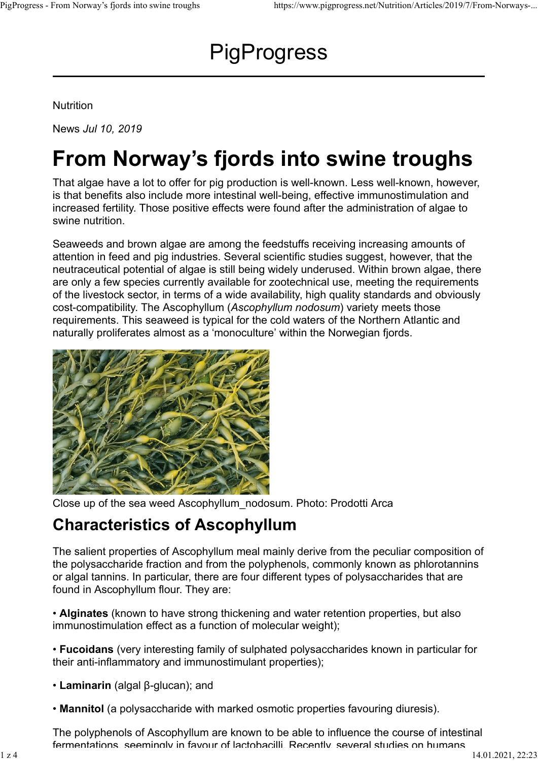# **PigProgress** PigProgress - From Norway's fjords into swine troughs https://www.pigprogress.net/Nutrition/Articles/2019/7/From-Norways-...<br> $\mathsf{PigProgress}$

Nutrition

News Jul 10, 2019

# From Norway's fjords into swine troughs

That algae have a lot to offer for pig production is well-known. Less well-known, however, is that benefits also include more intestinal well-being, effective immunostimulation and increased fertility. Those positive effects were found after the administration of algae to swine nutrition.

Seaweeds and brown algae are among the feedstuffs receiving increasing amounts of attention in feed and pig industries. Several scientific studies suggest, however, that the neutraceutical potential of algae is still being widely underused. Within brown algae, there are only a few species currently available for zootechnical use, meeting the requirements of the livestock sector, in terms of a wide availability, high quality standards and obviously cost-compatibility. The Ascophyllum (Ascophyllum nodosum) variety meets those requirements. This seaweed is typical for the cold waters of the Northern Atlantic and naturally proliferates almost as a 'monoculture' within the Norwegian fjords.



Close up of the sea weed Ascophyllum\_nodosum. Photo: Prodotti Arca

### Characteristics of Ascophyllum

The salient properties of Ascophyllum meal mainly derive from the peculiar composition of the polysaccharide fraction and from the polyphenols, commonly known as phlorotannins or algal tannins. In particular, there are four different types of polysaccharides that are found in Ascophyllum flour. They are:

• Alginates (known to have strong thickening and water retention properties, but also immunostimulation effect as a function of molecular weight);

• Fucoidans (very interesting family of sulphated polysaccharides known in particular for their anti-inflammatory and immunostimulant properties);

- Laminarin (algal β-glucan); and
- Mannitol (a polysaccharide with marked osmotic properties favouring diuresis).

The polyphenols of Ascophyllum are known to be able to influence the course of intestinal fermentations, seemingly in favour of lactobacilli. Recently, several studies on humans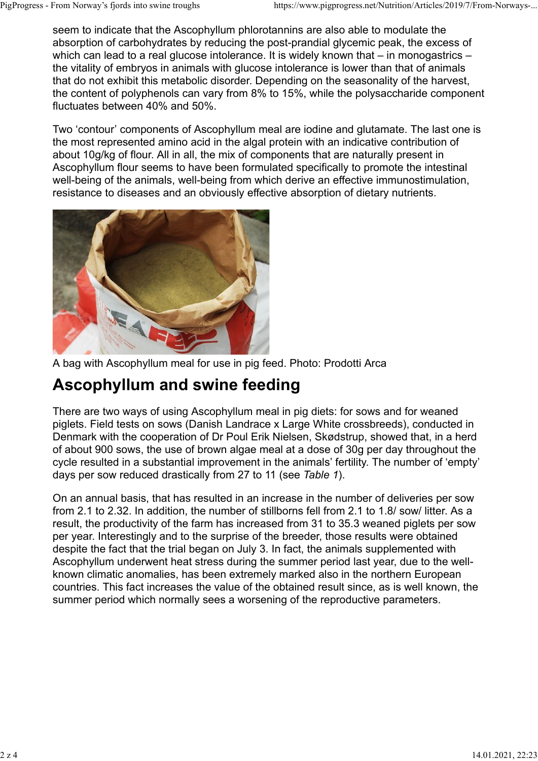seem to indicate that the Ascophyllum phlorotannins are also able to modulate the absorption of carbohydrates by reducing the post-prandial glycemic peak, the excess of which can lead to a real glucose intolerance. It is widely known that – in monogastrics – the vitality of embryos in animals with glucose intolerance is lower than that of animals that do not exhibit this metabolic disorder. Depending on the seasonality of the harvest, the content of polyphenols can vary from 8% to 15%, while the polysaccharide component fluctuates between 40% and 50%. PigProgress - From Norway's fjords into swine troughs https://www.pigprogress.net/Nutrition/Articles/2019/7/From-Norways-...<br>
seem to indicate that the Ascophyllum phlorotannins are also able to modulate the<br>
absorption of

Two 'contour' components of Ascophyllum meal are iodine and glutamate. The last one is the most represented amino acid in the algal protein with an indicative contribution of about 10g/kg of flour. All in all, the mix of components that are naturally present in Ascophyllum flour seems to have been formulated specifically to promote the intestinal well-being of the animals, well-being from which derive an effective immunostimulation, resistance to diseases and an obviously effective absorption of dietary nutrients.



A bag with Ascophyllum meal for use in pig feed. Photo: Prodotti Arca

## Ascophyllum and swine feeding

There are two ways of using Ascophyllum meal in pig diets: for sows and for weaned piglets. Field tests on sows (Danish Landrace x Large White crossbreeds), conducted in Denmark with the cooperation of Dr Poul Erik Nielsen, Skødstrup, showed that, in a herd of about 900 sows, the use of brown algae meal at a dose of 30g per day throughout the cycle resulted in a substantial improvement in the animals' fertility. The number of 'empty' days per sow reduced drastically from 27 to 11 (see Table 1).

On an annual basis, that has resulted in an increase in the number of deliveries per sow from 2.1 to 2.32. In addition, the number of stillborns fell from 2.1 to 1.8/ sow/ litter. As a result, the productivity of the farm has increased from 31 to 35.3 weaned piglets per sow per year. Interestingly and to the surprise of the breeder, those results were obtained despite the fact that the trial began on July 3. In fact, the animals supplemented with Ascophyllum underwent heat stress during the summer period last year, due to the wellknown climatic anomalies, has been extremely marked also in the northern European countries. This fact increases the value of the obtained result since, as is well known, the summer period which normally sees a worsening of the reproductive parameters.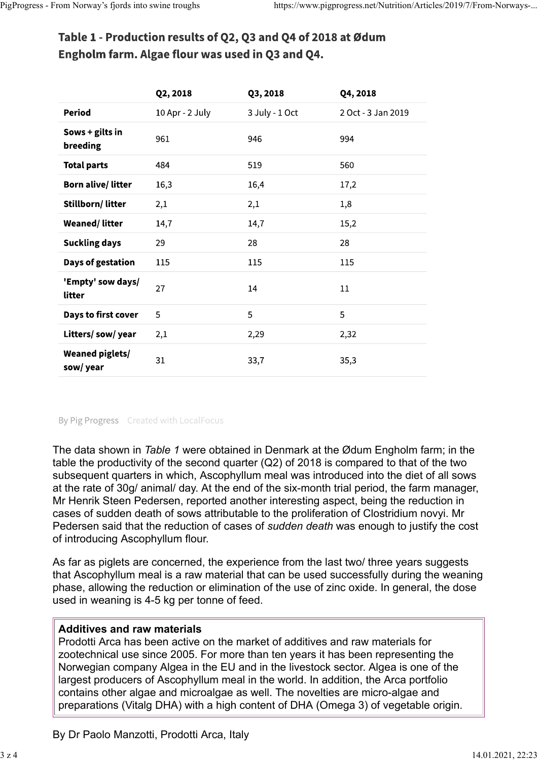# PigProgress - From Norway's fjords into swine troughs https://www.pigprogress.net/Nutrition/Articles/2019/7/From-Norways-...<br> **Table 1 - Production results of Q2, Q3 and Q4 of 2018 at Ødum**<br> **Engholm farm. Algae flour was**

|                                    | Q2, 2018        | Q3, 2018       | Q4, 2018           |
|------------------------------------|-----------------|----------------|--------------------|
| <b>Period</b>                      | 10 Apr - 2 July | 3 July - 1 Oct | 2 Oct - 3 Jan 2019 |
| Sows + gilts in<br>breeding        | 961             | 946            | 994                |
| <b>Total parts</b>                 | 484             | 519            | 560                |
| <b>Born alive/litter</b>           | 16,3            | 16,4           | 17,2               |
| Stillborn/litter                   | 2,1             | 2,1            | 1,8                |
| <b>Weaned/litter</b>               | 14,7            | 14,7           | 15,2               |
| <b>Suckling days</b>               | 29              | 28             | 28                 |
| Days of gestation                  | 115             | 115            | 115                |
| 'Empty' sow days/<br>litter        | 27              | 14             | 11                 |
| Days to first cover                | 5               | 5              | 5                  |
| Litters/sow/year                   | 2,1             | 2,29           | 2,32               |
| <b>Weaned piglets/</b><br>sow/year | 31              | 33,7           | 35,3               |

### By Pig Progress Created with LocalFocus

The data shown in Table 1 were obtained in Denmark at the Ødum Engholm farm; in the table the productivity of the second quarter (Q2) of 2018 is compared to that of the two subsequent quarters in which, Ascophyllum meal was introduced into the diet of all sows at the rate of 30g/ animal/ day. At the end of the six-month trial period, the farm manager, Mr Henrik Steen Pedersen, reported another interesting aspect, being the reduction in cases of sudden death of sows attributable to the proliferation of Clostridium novyi. Mr Pedersen said that the reduction of cases of sudden death was enough to justify the cost of introducing Ascophyllum flour.

As far as piglets are concerned, the experience from the last two/ three years suggests that Ascophyllum meal is a raw material that can be used successfully during the weaning phase, allowing the reduction or elimination of the use of zinc oxide. In general, the dose used in weaning is 4-5 kg per tonne of feed.

### Additives and raw materials

Prodotti Arca has been active on the market of additives and raw materials for zootechnical use since 2005. For more than ten years it has been representing the Norwegian company Algea in the EU and in the livestock sector. Algea is one of the largest producers of Ascophyllum meal in the world. In addition, the Arca portfolio contains other algae and microalgae as well. The novelties are micro-algae and preparations (Vitalg DHA) with a high content of DHA (Omega 3) of vegetable origin.